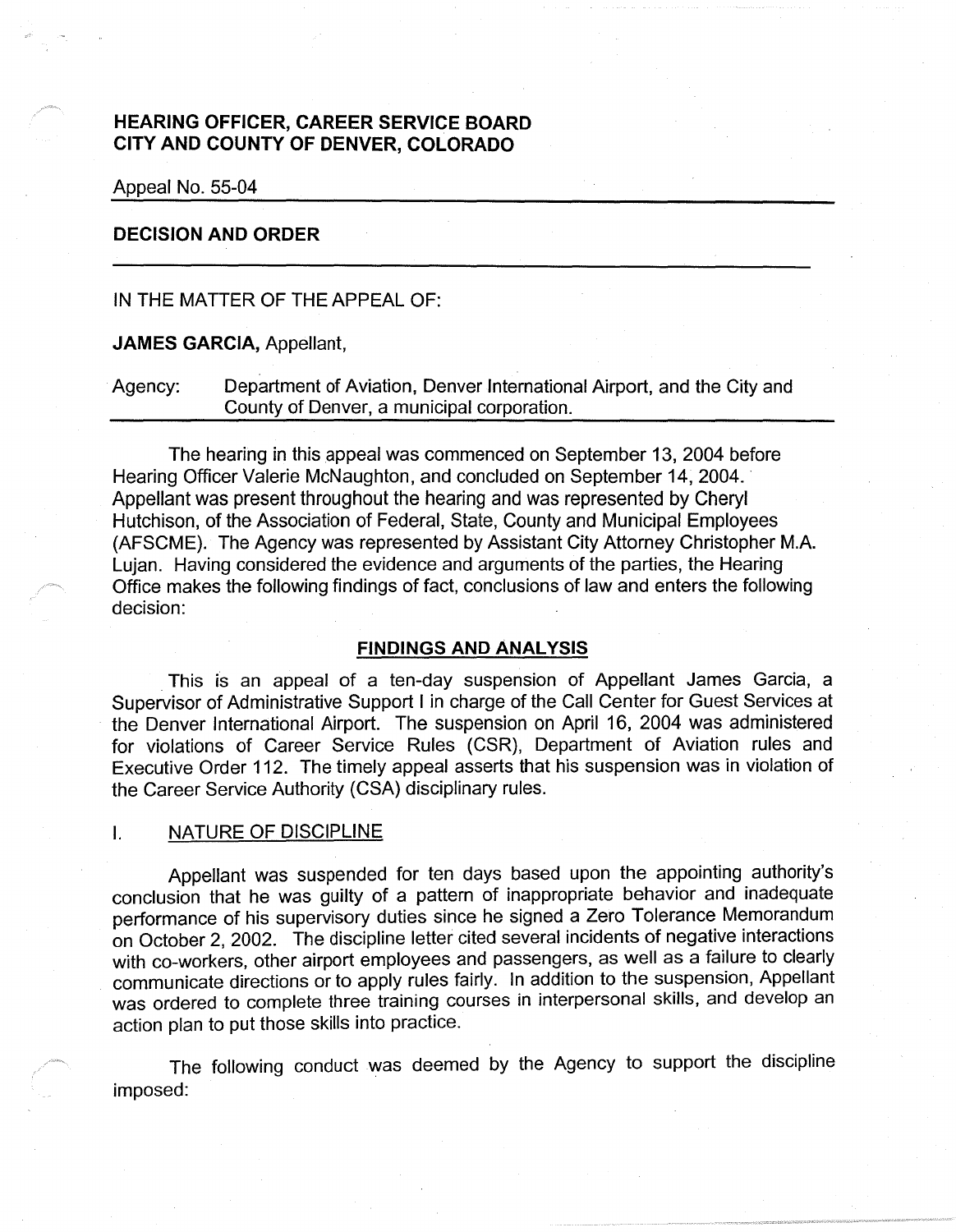# **HEARING OFFICER, CAREER SERVICE BOARD CITY AND COUNTY OF DENVER, COLORADO**

Appeal No. 55-04

## **DECISION AND ORDER**

IN THE MATTER OF THE APPEAL OF:

**JAMES GARCIA,** Appellant,

Agency: Department of Aviation, Denver International Airport, and the City and County of Denver, a municipal corporation.

The hearing in this appeal was commenced on September 13, 2004 before Hearing Officer Valerie McNaughton, and concluded on September 14, 2004. Appellant was present throughout the hearing and was represented by Cheryl Hutchison, of the Association of Federal, State, County and Municipal Employees (AFSCME). The Agency was represented by Assistant City Attorney Christopher M.A. Lujan. Having considered the evidence and arguments of the parties, the Hearing Office makes the following findings of fact, conclusions of law and enters the following decision:

### **FINDINGS AND ANALYSIS**

. This is an appeal of a ten-day suspension of Appellant James Garcia, a Supervisor of Administrative Support I in charge of the Call Center for Guest Services at · the Denver International Airport. The suspension on April 16, 2004 was administered for violations of Career Service Rules (CSR), Department of Aviation rules and Executive Order 112. The timely appeal asserts that his suspension was in violation of the Career Service Authority (CSA) disciplinary rules.

### I. NATURE OF DISCIPLINE

Appellant was suspended for ten days based upon the appointing authority's conclusion that he was guilty of a pattern of inappropriate behavior and inadequate performance of his supervisory duties since he signed a Zero Tolerance Memorandum on October 2, 2002. The discipline letter cited several incidents of negative interactions with co-workers, other airport employees and passengers, as well as a failure to clearly communicate directions or to apply rules fairly. In addition to the suspension, Appellant was ordered to complete three training courses in interpersonal skills, and develop an action plan to put those skills into practice.

The following conduct was deemed by the Agency to support the discipline imposed: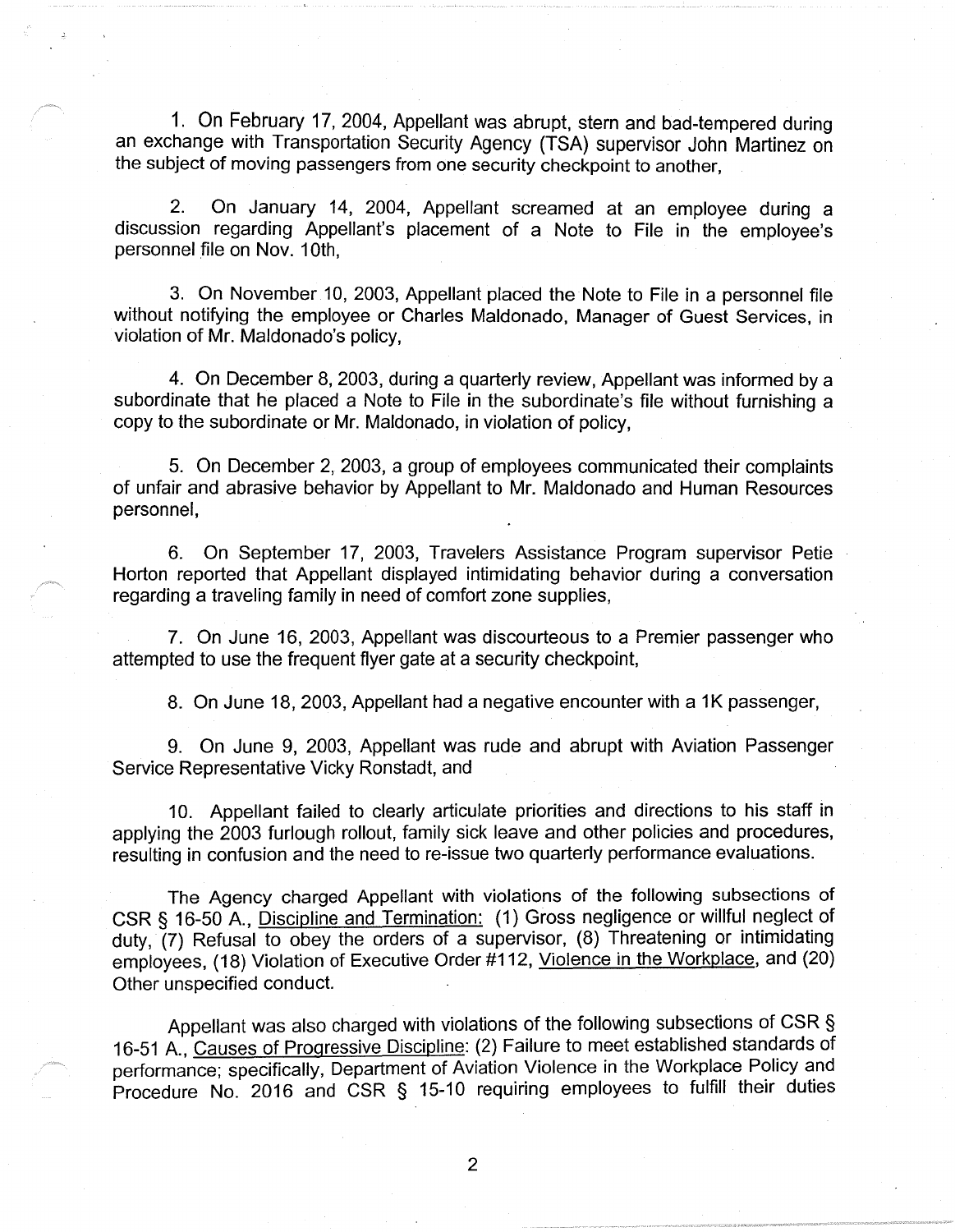1. On February 17, 2004, Appellant was abrupt, stern and bad-tempered during an exchange with Transportation Security Agency (TSA) supervisor John Martinez on the subject of moving passengers from one security checkpoint to another,

2. On January 14, 2004, Appellant screamed at an employee during a discussion regarding Appellant's placement of a Note to File in the employee's personnel file on Nov. 10th,

3. On November 10, 2003, Appellant placed the Note to File in a personnel file without notifying the employee or Charles Maldonado, Manager of Guest Services, in violation of Mr. Maldonado's policy,

4. On December 8, 2003, during a quarterly review, Appellant was informed by a subordinate that he placed a Note to File in the subordinate's file without furnishing a copy to the subordinate or Mr. Maldonado, in violation of policy,

5. On December 2, 2003, a group of employees communicated their complaints of unfair and abrasive behavior by Appellant to Mr. Maldonado and Human Resources personnel,

6. On September 17, 2003, Travelers Assistance Program supervisor Petie Horton reported that Appellant displayed intimidating behavior during a conversation regarding a traveling family in need of comfort zone supplies,

7. On June 16, 2003, Appellant was discourteous to a Premier passenger who attempted to use the frequent flyer gate at a security checkpoint,

8. On June 18, 2003, Appellant had a negative encounter with a 1K passenger,

9. On June 9, 2003, Appellant was rude and abrupt with Aviation Passenger Service Representative Vicky Ronstadt, and

10. Appellant failed to clearly articulate priorities and directions to his staff in applying the 2003 furlough rollout, family sick leave and other policies and procedures, resulting in confusion and the need to re-issue two quarterly performance evaluations.

The Agency charged Appellant with violations of the following subsections of CSR§ 16-50 A., Discipline and Termination: (1) Gross negligence or willful neglect of duty, (7) Refusal to obey the orders of a supervisor, (8) Threatening or intimidating employees, (18) Violation of Executive Order #112, Violence in the Workplace, and (20) Other unspecified conduct.

Appellant was also charged with violations of the following subsections of CSR § 16-51 A., Causes of Progressive Discipline: (2) Failure to meet established standards of performance; specifically, Department of Aviation Violence in the Workplace Policy and Procedure No. 2016 and CSR § 15-10 requiring employees to fulfill their duties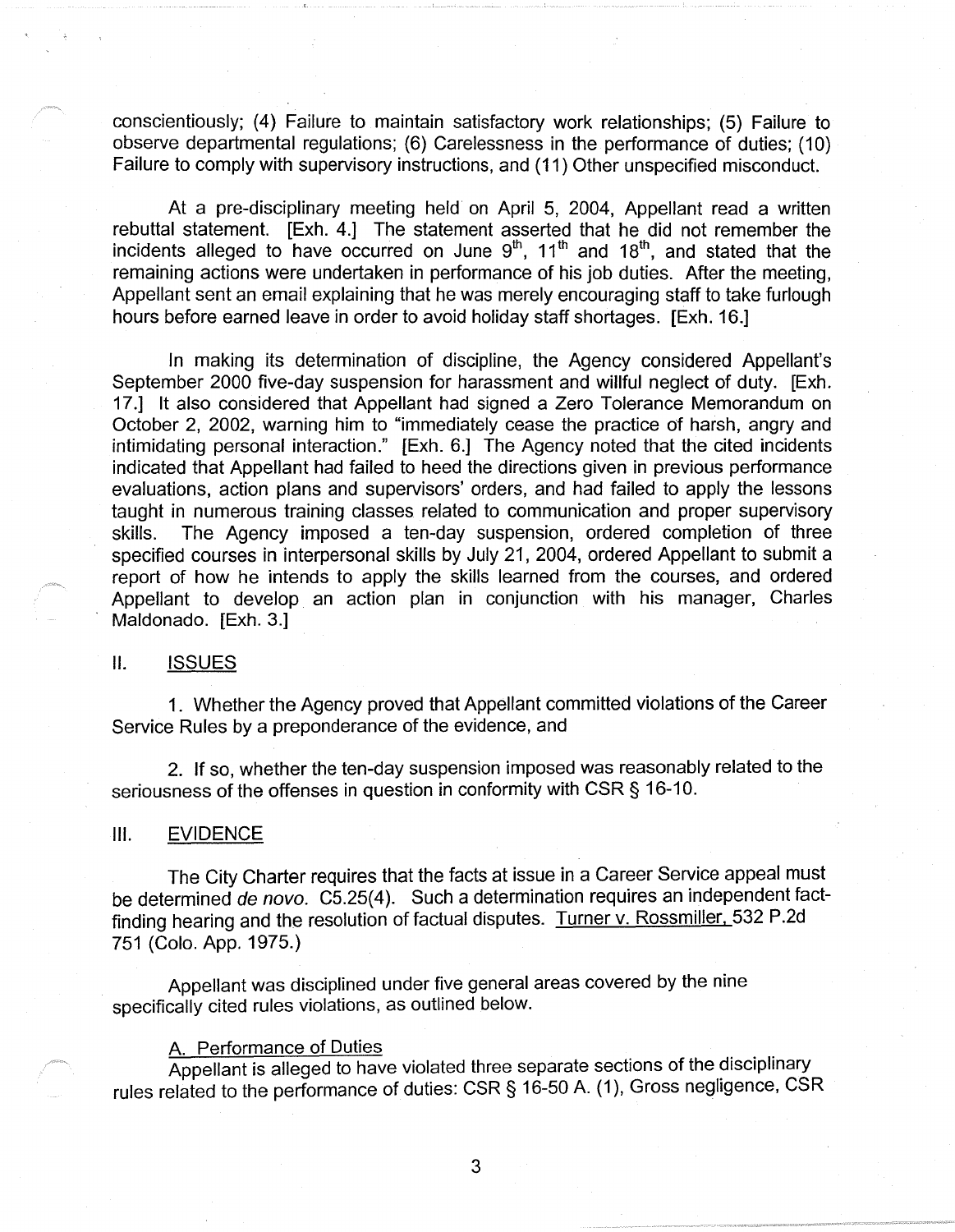conscientiously; (4) Failure to maintain satisfactory work relationships; (5) Failure to observe departmental regulations; (6) Carelessness in the performance of duties; (10) Failure to comply with supervisory instructions, and (11) Other unspecified misconduct.

At a pre-disciplinary meeting held on April 5, 2004, Appellant read a written rebuttal statement. [Exh. 4.] The statement asserted that he did not remember the incidents alleged to have occurred on June  $9<sup>th</sup>$ ,  $11<sup>th</sup>$  and  $18<sup>th</sup>$ , and stated that the remaining actions were undertaken in performance of his job duties. After the meeting, Appellant sent an email explaining that he was merely encouraging staff to take furlough hours before earned leave in order to avoid holiday staff shortages. [Exh. 16.]

In making its determination of discipline, the Agency considered Appellant's September 2000 five-day suspension for harassment and willful neglect of duty. [Exh. 17.] It also considered that Appellant had signed a Zero Tolerance Memorandum on October 2, 2002, warning him to "immediately cease the practice of harsh, angry and intimidating personal interaction." [Exh. 6.] The Agency noted that the cited incidents indicated that Appellant had failed to heed the directions given in previous performance evaluations, action plans and supervisors' orders, and had failed to apply the lessons taught in numerous training classes related to communication and proper supervisory skills. The Agency imposed a ten-day suspension, ordered completion of three specified courses in interpersonal skills by July 21, 2004, ordered Appellant to submit a report of how he intends to apply the skills learned from the courses, and ordered Appellant to develop. an action plan in conjunction with his manager, Charles Maldonado. [Exh. 3.]

### II. ISSUES

1. Whether the Agency proved that Appellant committed violations of the Career Service Rules by a preponderance of the evidence, and

2. If so, whether the ten-day suspension imposed was reasonably related to the seriousness of the offenses in question in conformity with CSR§ 16-10.

#### Ill. EVIDENCE

The City Charter requires that the facts at issue in a Career Service appeal must be determined de novo. C5.25(4). Such a determination requires an independent factfinding hearing and the resolution of factual disputes. Turner v. Rossmiller, 532 P.2d 751 (Colo. App. 1975.)

Appellant was disciplined under five general areas covered by the nine specifically cited rules violations, as outlined below.

## A. Performance of Duties

Appellant is alleged to have violated three separate sections of the disciplinary rules related to the performance of duties: CSR§ 16-50 A. (1 ), Gross negligence, CSR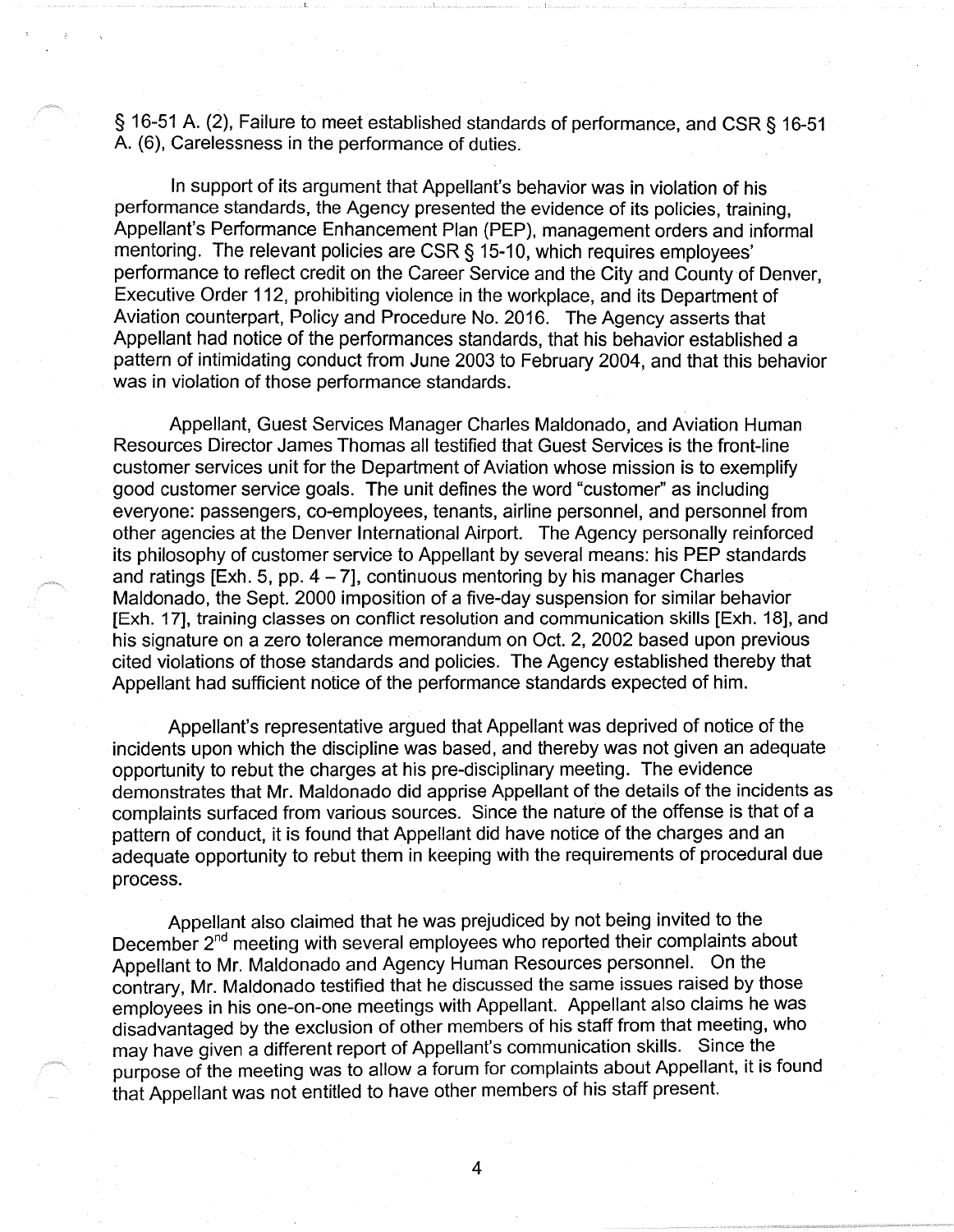§ 16-51 A. (2), Failure to meet established standards of performance, and CSR § 16-51 A. (6), Carelessness in the performance of duties. .

In support of its argument that Appellant's behavior was in violation of his performance standards, the Agency presented the evidence of its policies, training, Appellant's Performance Enhancement Plan (PEP), management orders and informal mentoring. The relevant policies are CSR § 15-10, which requires employees' performance to reflect credit on the Career Service and the City and County of Denver, Executive Order 112, prohibiting violence in the workplace, and its Department of Aviation counterpart, Policy and Procedure No. 2016. The Agency asserts that Appellant had notice of the performances standards, that his behavior established a pattern of intimidating conduct from June 2003 to February 2004, and that this behavior was in violation of those performance standards.

Appellant, Guest Services Manager Charles Maldonado, and Aviation Human Resources Director James Thomas all testified that Guest Services is the front-line customer services unit for the Department of Aviation whose mission is to exemplify good customer service goals. The unit defines the word "customer" as including everyone: passengers, co-employees, tenants, airline personnel, and personnel from other agencies at the Denver International Airport. The Agency personally reinforced its philosophy of customer service to Appellant by several means: his PEP standards and ratings [Exh. 5, pp.  $4 - 7$ ], continuous mentoring by his manager Charles Maldonado, the Sept. 2000 imposition of a five-day suspension for similar behavior [Exh. 17], training classes on conflict resolution and communication skills [Exh. 18], and his signature on a zero tolerance memorandum on Oct. 2, 2002 based upon previous cited violations of those standards and policies. The Agency established thereby that Appellant had sufficient notice of the performance standards expected of him.

Appellant's representative argued that Appellant was deprived of notice of the incidents upon which the discipline was based, and thereby was not given an adequate opportunity to rebut the charges at his pre-disciplinary meeting. The evidence demonstrates that Mr. Maldonado did apprise Appellant of the details of the incidents as complaints surfaced from various sources. Since the nature of the offense is that of a pattern of conduct, it is found that Appellant did have notice of the charges and an adequate opportunity to rebut them in keeping with the requirements of procedural due process.

Appellant also claimed that he was prejudiced by not being invited to the December 2<sup>nd</sup> meeting with several employees who reported their complaints about Appellant to Mr. Maldonado and Agency Human Resources personnel. On the contrary, Mr. Maldonado testified that he discussed the same issues raised by those employees in his one-on-one meetings with Appellant. Appellant also claims he was disadvantaged by the exclusion of other members of his staff from that meeting, who may have given a different report of Appellant's communication skills. Since the purpose of the meeting was to allow a forum for complaints about Appellant, it is found that Appellant was not entitled to have other members of his staff present.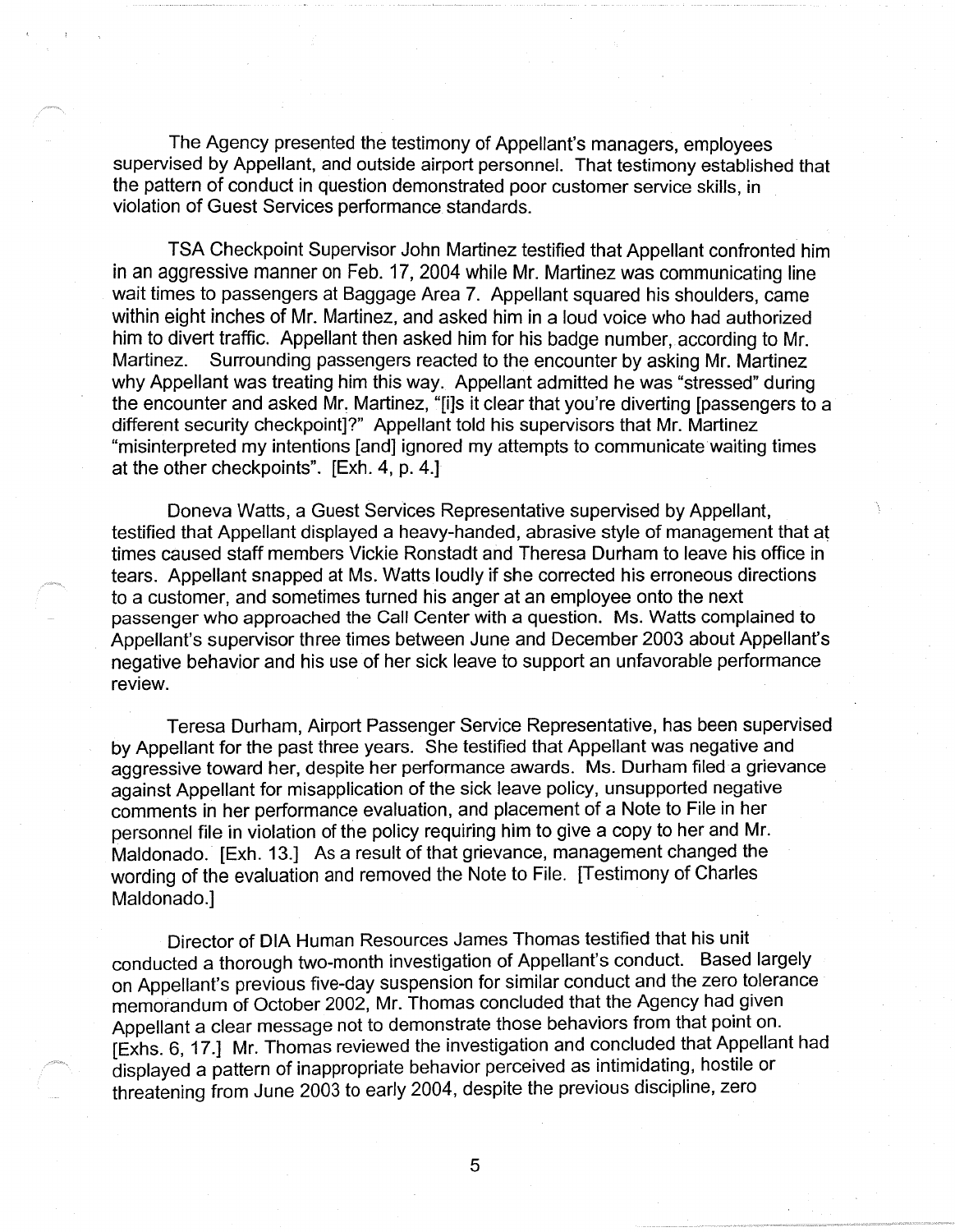The Agency presented the testimony of Appellant's managers, employees supervised by Appellant, and outside airport personnel. That testimony established that the pattern of conduct in question demonstrated poor customer service skills, in violation of Guest Services performance standards.

TSA Checkpoint Supervisor John Martinez testified that Appellant confronted him in an aggressive manner on Feb. 17, 2004 while Mr. Martinez was communicating line wait times to passengers at Baggage Area 7. Appellant squared his shoulders, came within eight inches of Mr. Martinez, and asked him in a loud voice who had authorized him to divert traffic. Appellant then asked him for his badge number, according to Mr. Martinez. Surrounding passengers reacted to the encounter by asking Mr. Martinez why Appellant was treating him this way. Appellant admitted he was "stressed" during the encounter and asked Mr. Martinez, "[i]s it clear that you're diverting [passengers to a different security checkpoint]?" Appellant told his supervisors that Mr. Martinez "misinterpreted my intentions [and] ignored my attempts to communicate waiting times at the other checkpoints". [Exh. 4, p. 4.]

Doneva Watts, a Guest Services Representative supervised by Appellant, testified that Appellant displayed a heavy-handed, abrasive style of management that at times caused staff members Vickie Ronstadt and Theresa Durham to leave his office in tears. Appellant snapped at Ms. Watts loudly if she corrected his erroneous directions to a customer, and sometimes turned his anger at an employee onto the next passenger who approached the Call Center with a question. Ms. Watts complained to Appellant's supervisor three times between June and December 2003 about Appellant's negative behavior and his use of her sick leave to support an unfavorable performance review.

Teresa Durham, Airport Passenger Service Representative, has been supervised by Appellant for the past three years. She testified that Appellant was negative and aggressive toward her, despite her performance awards. Ms. Durham filed a grievance against Appellant for misapplication of the sick leave policy, unsupported negative comments in her performance evaluation, and placement of a Note to File in her personnel file in violation of the policy requiring him to give a copy to her and Mr. Maldonado. [Exh. 13.] As a result of that grievance, management changed the wording of the evaluation and removed the Note to File. [Testimony of Charles Maldonado.]

Director of DIA Human Resources James Thomas testified that his unit conducted a thorough two-month investigation of Appellant's conduct. Based largely on Appellant's previous five-day suspension for similar conduct and the zero tolerance memorandum of October 2002, Mr. Thomas concluded that the Agency had given Appellant a clear message not to demonstrate those behaviors from that point on. [Exhs. 6, 17 .] Mr. Thomas reviewed the investigation and concluded that Appellant had displayed a pattern of inappropriate behavior perceived as intimidating, hostile or threatening from June 2003 to early 2004, despite the previous discipline, zero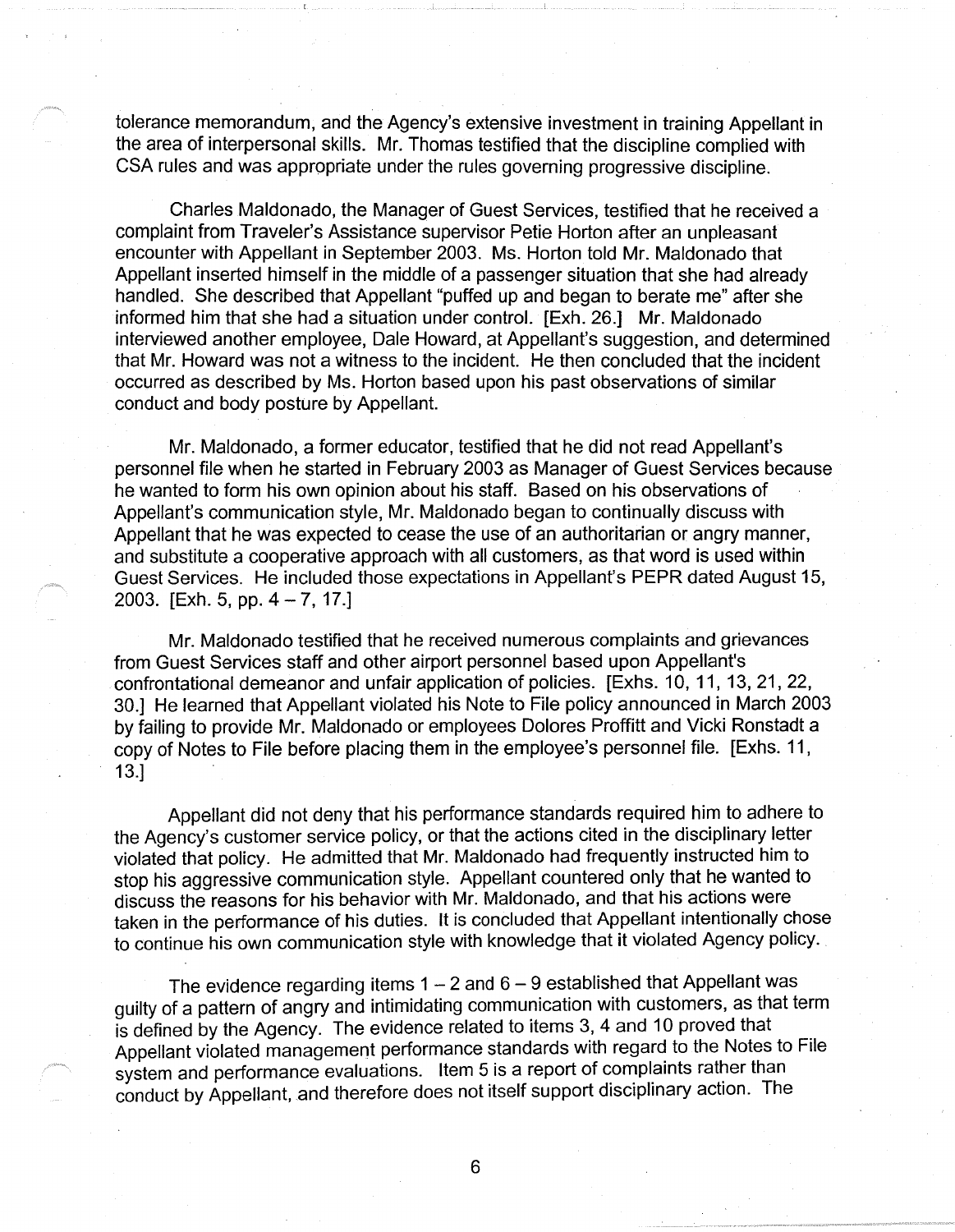tolerance memorandum, and the Agency's extensive investment in training Appellant in the area of interpersonal skills. Mr. Thomas testified that the discipline complied with CSA rules and was appropriate under the rules governing progressive discipline.

Charles Maldonado, the Manager of Guest Services, testified that he received a complaint from Traveler's Assistance supervisor Petie Horton after an unpleasant encounter with Appellant in September 2003. Ms. Horton told Mr. Maldonado that Appellant inserted himself in the middle of a passenger situation that she had already handled. She described that Appellant "puffed up and began to berate me" after she informed him that she had a situation under control. [Exh. 26.] Mr. Maldonado interviewed another employee, Dale Howard, at Appellant's suggestion, and determined that Mr. Howard was not a witness to the incident. He then concluded that the incident occurred as described by Ms. Horton based upon his past observations of similar conduct and body posture by Appellant.

Mr. Maldonado, a former educator, testified that he did not read Appellant's personnel file when he started in February 2003 as Manager of Guest Services because he wanted to form his own opinion about his staff. Based on his observations of Appellant's communication style, Mr. Maldonado began to continually discuss with Appellant that he was expected to cease the use of an authoritarian or angry manner, and substitute a cooperative approach with all customers, as that word is used within Guest Services. He included those expectations in Appellant's PEPR dated August 15, 2003. [Exh. 5, pp.  $4 - 7$ , 17.]

Mr. Maldonado testified that he received numerous complaints and grievances from Guest Services staff and other airport personnel based upon Appellant's confrontational demeanor and unfair application of policies. [Exhs. 10, 11, 13, 21, 22, 30.] He learned that Appellant violated his Note to File policy announced in March 2003 by failing to provide Mr. Maldonado or employees Dolores Proffitt and Vicki Ronstadt a copy of Notes to File before placing them in the employee's personnel file. [Exhs. 11, 13.]

Appellant did not deny that his performance standards required him to adhere to the Agency's customer service policy, or that the actions cited in the disciplinary letter violated that policy. He admitted that Mr. Maldonado had frequently instructed him to stop his aggressive communication style. Appellant countered only that he wanted to discuss the reasons for his behavior with Mr. Maldonado, and that his actions were taken in the performance of his duties. It is concluded that Appellant intentionally chose to continue his own communication style with knowledge that it violated Agency policy.

The evidence regarding items  $1 - 2$  and  $6 - 9$  established that Appellant was guilty of a pattern of angry and intimidating communication with customers, as that term is defined by the Agency. The evidence related to items 3, 4 and 10 proved that Appellant violated management performance standards with regard to the Notes to File system and performance evaluations. Item 5 is a report of complaints rather than conduct by Appellant, and therefore does not itself support disciplinary action. The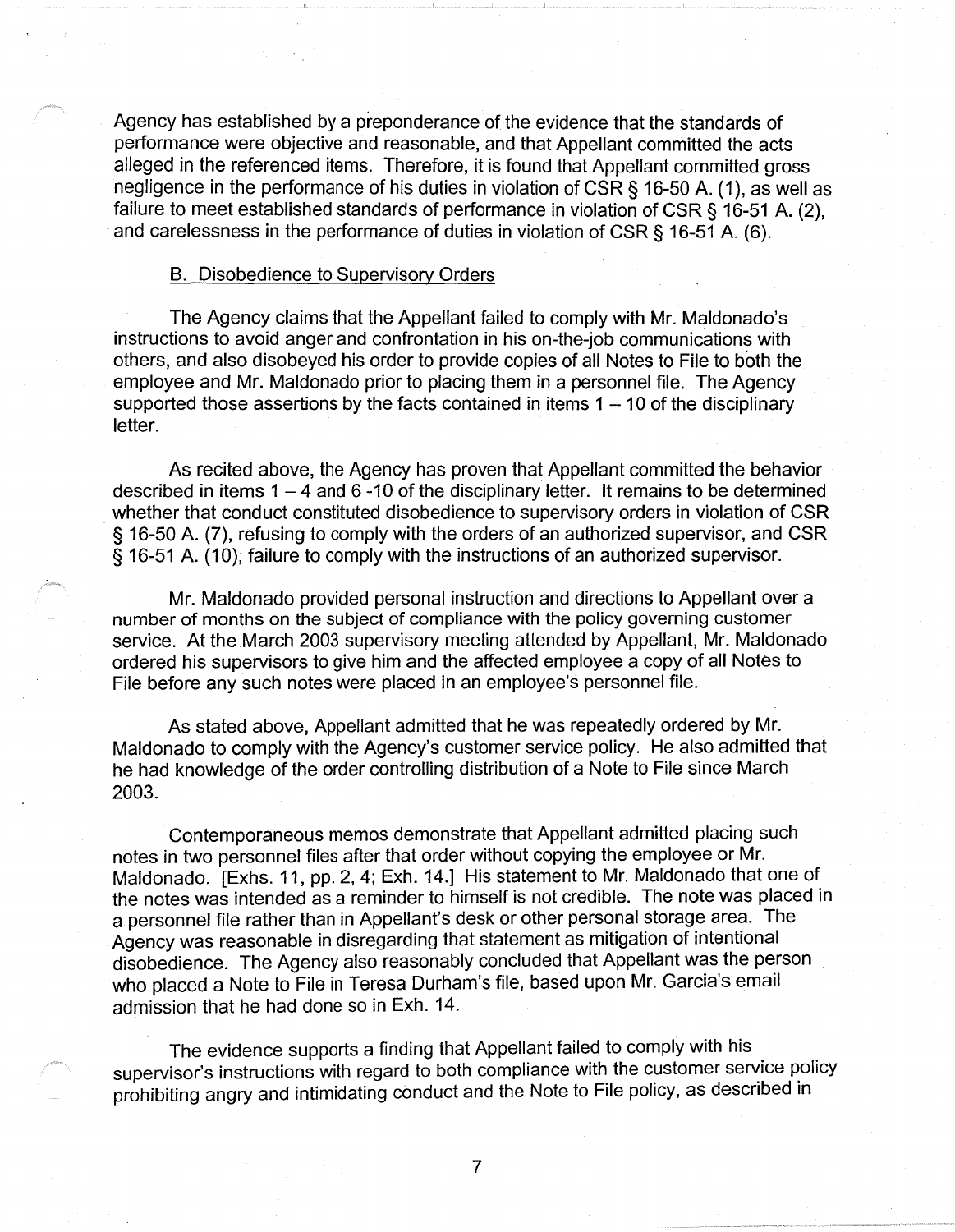Agency has established by a preponderance of the evidence that the standards of performance were objective and reasonable, and that Appellant committed the acts alleged in the referenced items. Therefore, it is found that Appellant committed gross negligence in the performance of his duties in violation of CSR § 16-50 A. ( 1 ), as well as failure to meet established standards of performance in violation of CSR § 16-51 A. (2), and carelessness in the performance of duties in violation of CSR  $\S$  16-51 A. (6).

### B. Disobedience to Supervisory Orders

The Agency claims that the Appellant failed to comply with Mr. Maldonado's instructions to avoid anger and confrontation in his on-the-job communications with others, and also disobeyed his order to provide copies of all Notes to File to both the employee and Mr. Maldonado prior to placing them in a personnel file. The Agency supported those assertions by the facts contained in items  $1 - 10$  of the disciplinary letter.

As recited above, the Agency has proven that Appellant committed the behavior described in items  $1 - 4$  and  $6 - 10$  of the disciplinary letter. It remains to be determined whether that conduct constituted disobedience to supervisory orders in violation of CSR § 16-50 A. (7), refusing to comply with the orders of an authorized supervisor, and CSR § 16-51 A (10), failure to comply with the instructions of an authorized supervisor.

Mr. Maldonado provided personal instruction and directions to Appellant over a number of months on the subject of compliance with the policy governing customer service. At the March 2003 supervisory meeting attended by Appellant, Mr. Maldonado ordered his supervisors to give him and the affected employee a copy of all Notes to File before any such notes were placed in an employee's personnel file.

As stated above, Appellant admitted that he was repeatedly ordered by Mr. Maldonado to comply with the Agency's customer service policy. He also admitted that he had knowledge of the order controlling distribution of a Note to File since March 2003.

Contemporaneous memos demonstrate that Appellant admitted placing such notes in two personnel files after that order without copying the employee or Mr. Maldonado. [Exhs. 11, pp. 2, 4; Exh. 14.] His statement to Mr. Maldonado that one of the notes was intended as a reminder to himself is not credible. The note was placed in a personnel file rather than in Appellant's desk or other personal storage area. The Agency was reasonable in disregarding that statement as mitigation of intentional disobedience. The Agency also reasonably concluded that Appellant was the person who placed a Note to File in Teresa Durham's file, based upon Mr. Garcia's email admission that he had done so in Exh. 14.

The evidence supports a finding that Appellant failed to comply with his supervisor's instructions with regard to both compliance with the customer service policy prohibiting angry and intimidating conduct and the Note to File policy, as described in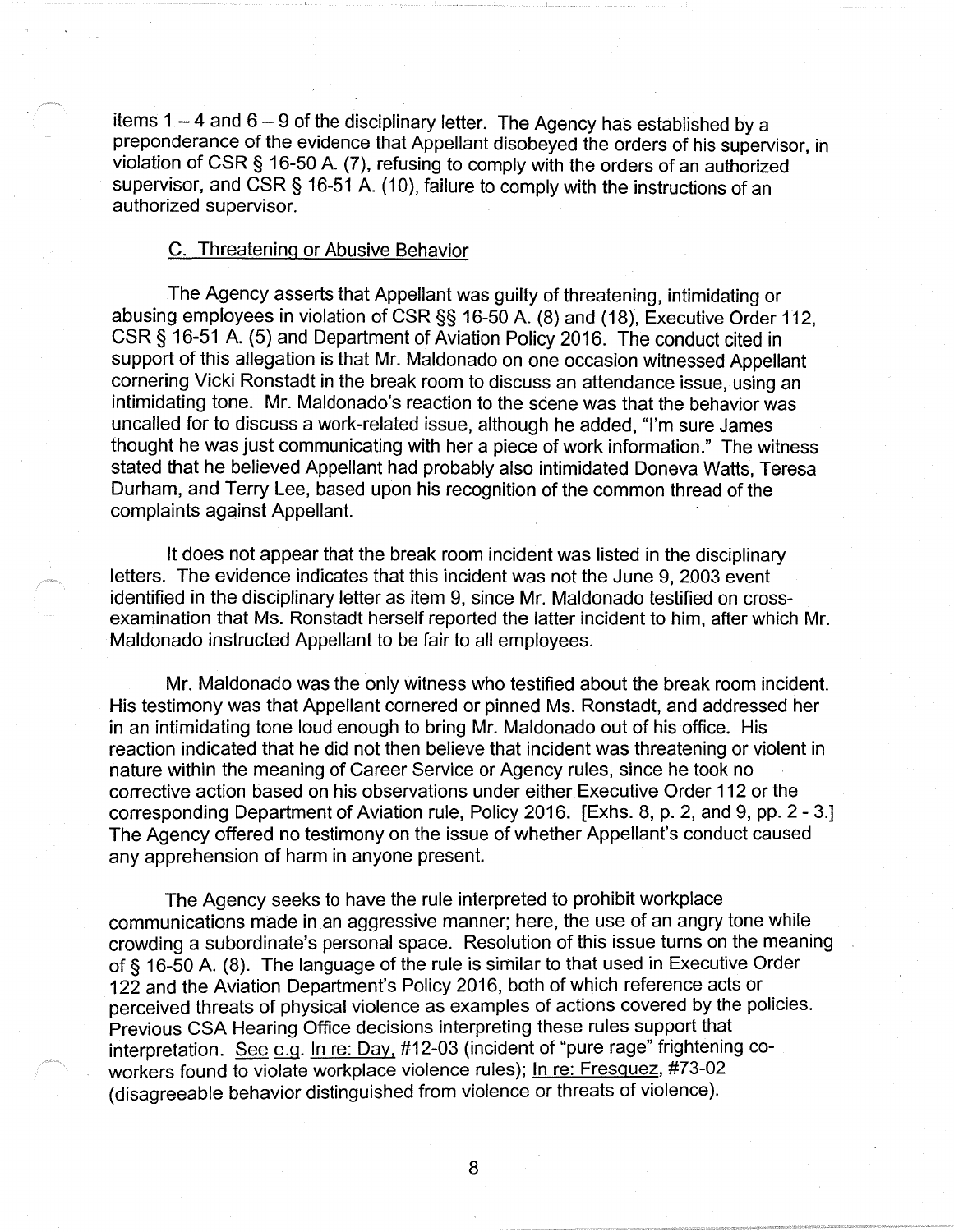items  $1 - 4$  and  $6 - 9$  of the disciplinary letter. The Agency has established by a preponderance of the evidence that Appellant disobeyed the orders of his supervisor, in violation of CSR § 16-50 A. (7), refusing to comply with the orders of an authorized supervisor, and CSR § 16-51 A. (10), failure to comply with the instructions of an authorized supervisor.

#### C. Threatening or Abusive Behavior

The Agency asserts that Appellant was guilty of threatening, intimidating or abusing employees in violation of CSR§§ 16-50 A. (8) and (18), Executive Order 112, CSR§ 16-51 A. (5) and Department of Aviation Policy 2016. The conduct cited in support of this allegation is that Mr. Maldonado on one occasion witnessed Appellant cornering Vicki Ronstadt in the break room to discuss an attendance issue, using an intimidating tone. Mr. Maldonado's reaction to the scene was that the behavior was uncalled for to discuss a work-related issue, although he added, "I'm sure James thought he was just communicating with her a piece of work information." The witness stated that he believed Appellant had probably also intimidated Doneva Watts, Teresa Durham, and Terry Lee, based upon his recognition of the common thread of the complaints against Appellant.

It does not appear that the break room incident was listed in the disciplinary letters. The evidence indicates that this incident was not the June 9, 2003 event identified in the disciplinary letter as item 9, since Mr. Maldonado testified on crossexamination that Ms. Ronstadt herself reported the latter incident to him, after which Mr. Maldonado instructed Appellant to be fair to all employees.

Mr. Maldonado was the only witness who testified about the break room incident. His testimony was that Appellant cornered or pinned Ms. Ronstadt, and addressed her in an intimidating tone loud enough to bring Mr. Maldonado out of his office. His reaction indicated that he did not then believe that incident was threatening or violent in nature within the meaning of Career Service or Agency rules, since he took no corrective action based on his observations under either Executive Order 112 or the corresponding Department of Aviation rule, Policy 2016. [Exhs. 8, p. 2, and 9, pp. 2 - 3.] The Agency offered no testimony on the issue of whether Appellant's conduct caused any apprehension of harm in anyone present.

The Agency seeks to have the rule interpreted to prohibit workplace communications made in an aggressive manner; here, the use of an angry tone while crowding a subordinate's personal space. Resolution of this issue turns on the meaning of § 16-50 A. (8). The language of the rule is similar to that used in Executive Order 122 and the Aviation Department's Policy 2016, both of which reference acts or perceived threats of physical violence as examples of actions covered by the policies. Previous CSA Hearing Office decisions interpreting these rules support that interpretation. See e.g. In re: Day, #12-03 (incident of "pure rage" frightening coworkers found to violate workplace violence rules); In re: Fresquez, #73-02 (disagreeable behavior distinguished from violence or threats of violence).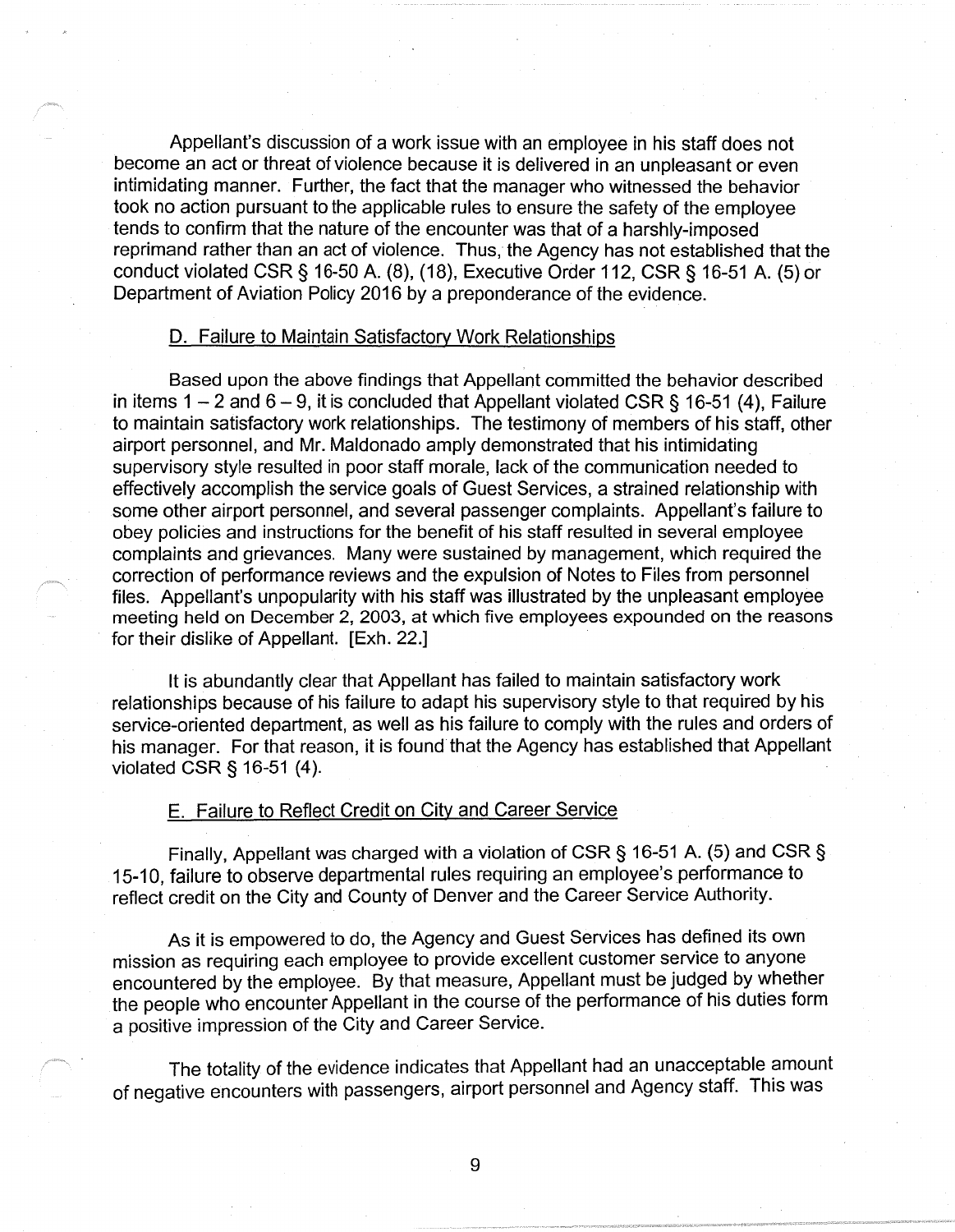Appellant's discussion of a work issue with an employee in his staff does not become an act or threat of violence because it is delivered in an unpleasant or even intimidating manner. Further, the fact that the manager who witnessed the behavior took no action pursuant to the applicable rules to ensure the safety of the employee tends to confirm that the nature of the encounter was that of a harshly-imposed reprimand rather than an act of violence. Thus, the Agency has not established that the conduct violated CSR§ 16-50 A. (8), (18), Executive Order 112, CSR§ 16-51 A. (5) or Department of Aviation Policy 2016 by a preponderance of the evidence.

### D. Failure to Maintain Satisfactory Work Relationships

Based upon the above findings that Appellant committed the behavior described in items  $1 - 2$  and  $6 - 9$ , it is concluded that Appellant violated CSR § 16-51 (4), Failure to maintain satisfactory work relationships. The testimony of members of his staff, other airport personnel, and Mr. Maldonado amply demonstrated that his intimidating supervisory style resulted in poor staff morale, lack of the communication needed to effectively accomplish the service goals of Guest Services, a strained relationship with some other airport personnel, and several passenger complaints. Appellant's failure to obey policies and instructions for the benefit of his staff resulted in several employee complaints and grievances. Many were sustained by management, which required the correction of performance reviews and the expulsion of Notes to Files from personnel files. Appellant's unpopularity with his staff was illustrated by the unpleasant employee meeting held on December 2, 2003, at which five employees expounded on the reasons for their dislike of Appellant. [Exh. 22.]

It is abundantly clear that Appellant has failed to maintain satisfactory work relationships because of his failure to adapt his supervisory style to that required by his service-oriented department, as well as his failure to comply with the rules and orders of his manager. For that reason, it is found that the Agency has established that Appellant violated CSR§ 16-51 (4).

#### E. Failure to Reflect Credit on City and Career Service

Finally, Appellant was charged with a violation of CSR§ 16-51 A. (5) and CSR§ 15-10, failure to observe departmental rules requiring an employee's performance to reflect credit on the City and County of Denver and the Career Service Authority.

As it is empowered to do, the Agency and Guest Services has defined its own mission as requiring each employee to provide excellent customer service to anyone encountered by the employee. By that measure, Appellant must be judged by whether the people who encounter Appellant in the course of the performance of his duties form a positive impression of the City and Career Service.

The totality of the evidence indicates that Appellant had an unacceptable amount of negative encounters with passengers, airport personnel and Agency staff. This was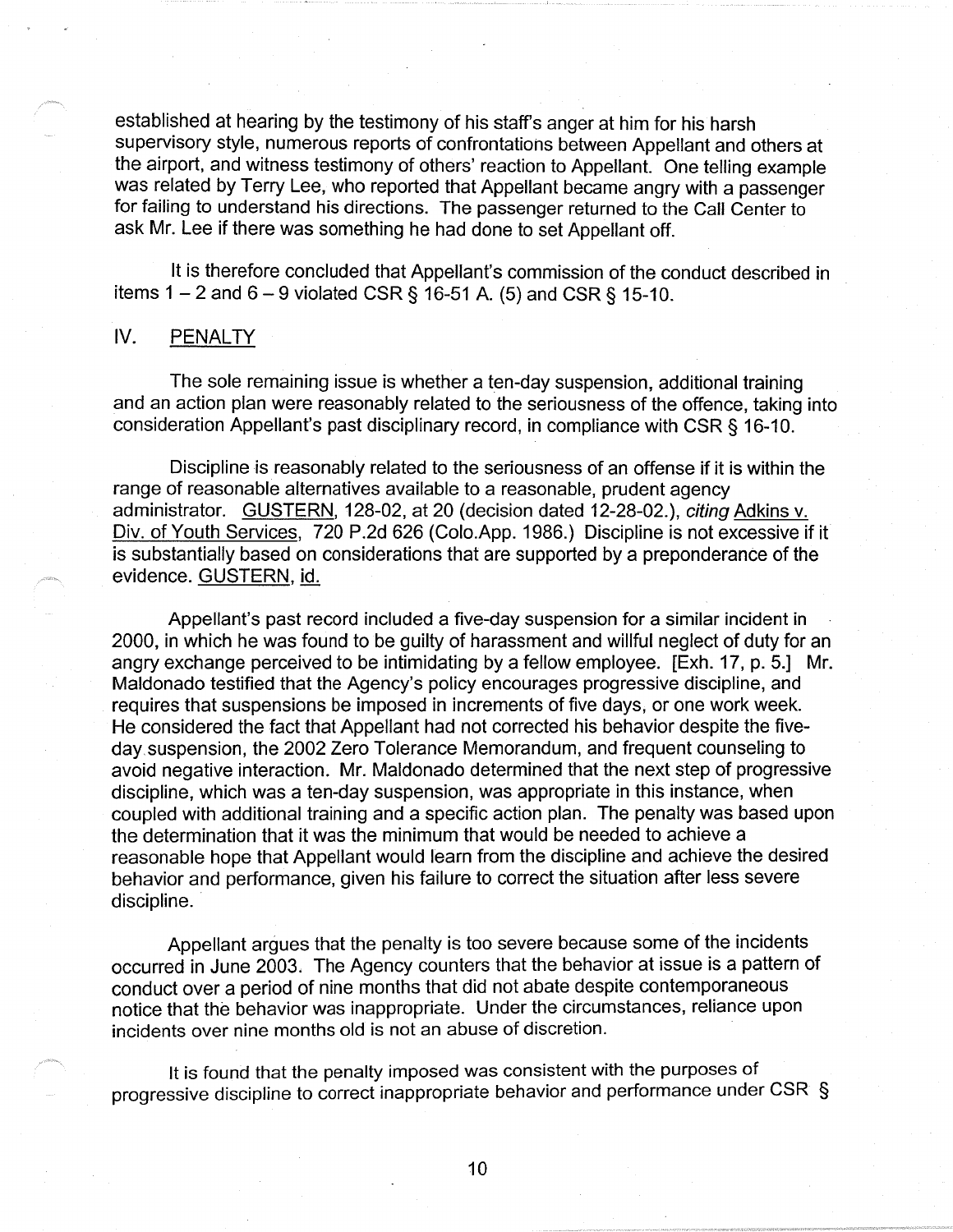established at hearing by the testimony of his staff's anger at him for his harsh supervisory style, numerous reports of confrontations between Appellant and others at the airport, and witness testimony of others' reaction to Appellant. One telling example was related by Terry Lee, who reported that Appellant became angry with a passenger for failing to understand his directions. The passenger returned to the Call Center to ask Mr. Lee if there was something he had done to set Appellant off.

It is therefore concluded that Appellant's commission of the conduct described in items  $1 - 2$  and  $6 - 9$  violated CSR § 16-51 A. (5) and CSR § 15-10.

# IV. PENALTY

The sole remaining issue is whether a ten-day suspension, additional training and an action plan were reasonably related to the seriousness of the offence, taking into consideration Appellant's past disciplinary record, in compliance with CSR § 16-10.

Discipline is reasonably related to the seriousness of an offense if it is within the range of reasonable alternatives available to a reasonable, prudent agency administrator. GUSTERN, 128-02, at 20 (decision dated 12-28-02.), citing Adkins v. Div. of Youth Services, 720 P.2d 626 (Colo.App. 1986.) Discipline is not excessive if it is substantially based on considerations that are supported by a preponderance of the evidence. GUSTERN, id.

Appellant's past record included a five-day suspension for a similar incident in 2000, in which he was found to be guilty of harassment and willful neglect of duty for an angry exchange perceived to be intimidating by a fellow employee. [Exh. 17, p. 5.] Mr. Maldonado testified that the Agency's policy encourages progressive discipline, and requires that suspensions be imposed in increments of five days, or one work week. He considered the fact that Appellant had not corrected his behavior despite the fiveday. suspension, the 2002 Zero Tolerance Memorandum, and frequent counseling to avoid negative interaction. Mr. Maldonado determined that the next step of progressive discipline, which was a ten-day suspension, was appropriate in this instance, when coupled with additional training and a specific action plan. The penalty was based upon the determination that it was the minimum that would be needed to achieve a reasonable hope that Appellant would learn from the discipline and achieve the desired behavior and performance, given his failure to correct the situation after less severe discipline.

Appellant argues that the penalty is too severe because some of the incidents occurred in June 2003. The Agency counters that the behavior at issue is a pattern of conduct over a period of nine months that did not abate despite contemporaneous notice that the behavior was inappropriate. Under the circumstances, reliance upon incidents over nine months old is not an abuse of discretion.

It is found that the penalty imposed was consistent with the purposes of progressive discipline to correct inappropriate behavior and performance under CSR §